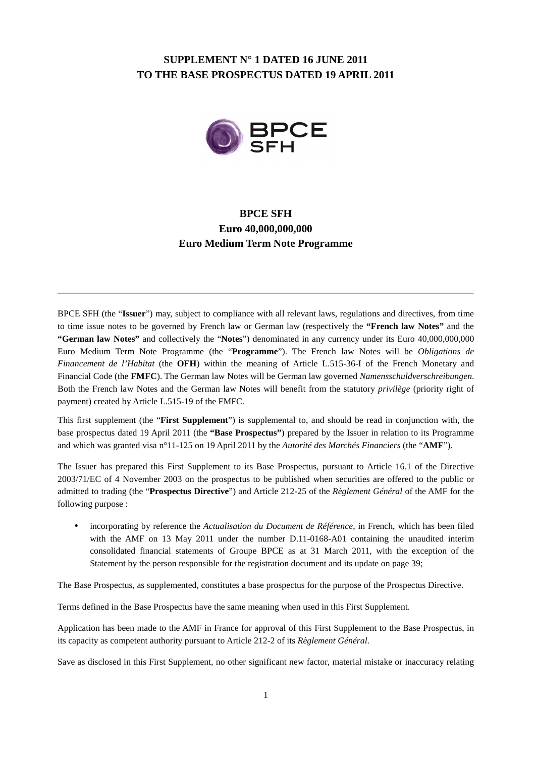## **SUPPLEMENT N° 1 DATED 16 JUNE 2011 TO THE BASE PROSPECTUS DATED 19 APRIL 2011**



# **BPCE SFH Euro 40,000,000,000 Euro Medium Term Note Programme**

BPCE SFH (the "**Issuer**") may, subject to compliance with all relevant laws, regulations and directives, from time to time issue notes to be governed by French law or German law (respectively the **"French law Notes"** and the **"German law Notes"** and collectively the "**Notes**") denominated in any currency under its Euro 40,000,000,000 Euro Medium Term Note Programme (the "**Programme**"). The French law Notes will be *Obligations de Financement de l'Habitat* (the **OFH**) within the meaning of Article L.515-36-I of the French Monetary and Financial Code (the **FMFC**). The German law Notes will be German law governed *Namensschuldverschreibungen*. Both the French law Notes and the German law Notes will benefit from the statutory *privilège* (priority right of payment) created by Article L.515-19 of the FMFC.

This first supplement (the "**First Supplement**") is supplemental to, and should be read in conjunction with, the base prospectus dated 19 April 2011 (the **"Base Prospectus"**) prepared by the Issuer in relation to its Programme and which was granted visa n°11-125 on 19 April 2011 by the *Autorité des Marchés Financiers* (the "**AMF**").

The Issuer has prepared this First Supplement to its Base Prospectus, pursuant to Article 16.1 of the Directive 2003/71/EC of 4 November 2003 on the prospectus to be published when securities are offered to the public or admitted to trading (the "**Prospectus Directive**") and Article 212-25 of the *Règlement Général* of the AMF for the following purpose :

• incorporating by reference the *Actualisation du Document de Référence*, in French, which has been filed with the AMF on 13 May 2011 under the number D.11-0168-A01 containing the unaudited interim consolidated financial statements of Groupe BPCE as at 31 March 2011, with the exception of the Statement by the person responsible for the registration document and its update on page 39;

The Base Prospectus, as supplemented, constitutes a base prospectus for the purpose of the Prospectus Directive.

Terms defined in the Base Prospectus have the same meaning when used in this First Supplement.

Application has been made to the AMF in France for approval of this First Supplement to the Base Prospectus, in its capacity as competent authority pursuant to Article 212-2 of its *Règlement Général*.

Save as disclosed in this First Supplement, no other significant new factor, material mistake or inaccuracy relating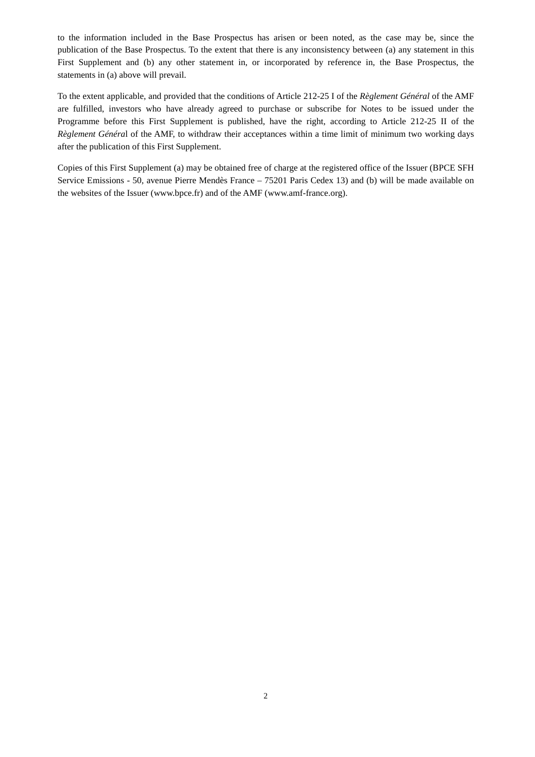to the information included in the Base Prospectus has arisen or been noted, as the case may be, since the publication of the Base Prospectus. To the extent that there is any inconsistency between (a) any statement in this First Supplement and (b) any other statement in, or incorporated by reference in, the Base Prospectus, the statements in (a) above will prevail.

To the extent applicable, and provided that the conditions of Article 212-25 I of the *Règlement Général* of the AMF are fulfilled, investors who have already agreed to purchase or subscribe for Notes to be issued under the Programme before this First Supplement is published, have the right, according to Article 212-25 II of the *Règlement Généra*l of the AMF, to withdraw their acceptances within a time limit of minimum two working days after the publication of this First Supplement.

Copies of this First Supplement (a) may be obtained free of charge at the registered office of the Issuer (BPCE SFH Service Emissions - 50, avenue Pierre Mendès France – 75201 Paris Cedex 13) and (b) will be made available on the websites of the Issuer (www.bpce.fr) and of the AMF (www.amf-france.org).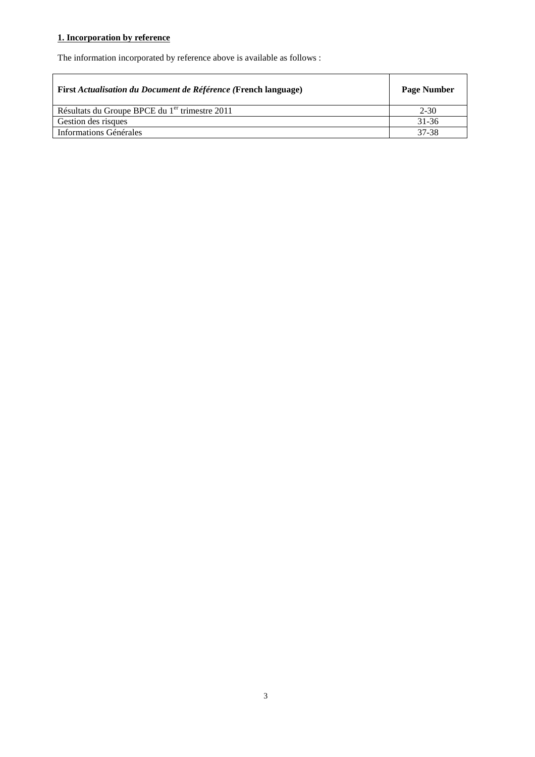## **1. Incorporation by reference**

The information incorporated by reference above is available as follows :

| First Actualisation du Document de Référence (French language) | <b>Page Number</b> |
|----------------------------------------------------------------|--------------------|
| Résultats du Groupe BPCE du 1 <sup>er</sup> trimestre 2011     | $2 - 30$           |
| Gestion des risques                                            | 31-36              |
| Informations Générales                                         | 37-38              |